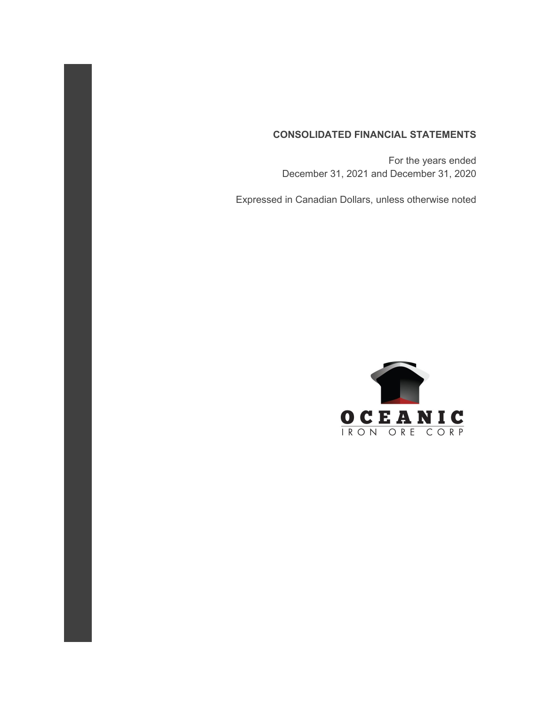## **CONSOLIDATED FINANCIAL STATEMENTS**

 For the years ended December 31, 2021 and December 31, 2020

Expressed in Canadian Dollars, unless otherwise noted

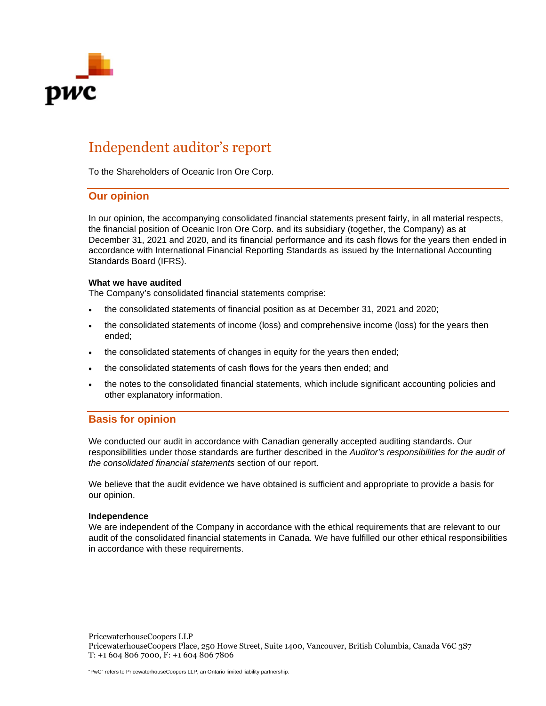

## Independent auditor's report

To the Shareholders of Oceanic Iron Ore Corp.

## **Our opinion**

In our opinion, the accompanying consolidated financial statements present fairly, in all material respects, the financial position of Oceanic Iron Ore Corp. and its subsidiary (together, the Company) as at December 31, 2021 and 2020, and its financial performance and its cash flows for the years then ended in accordance with International Financial Reporting Standards as issued by the International Accounting Standards Board (IFRS).

#### **What we have audited**

The Company's consolidated financial statements comprise:

- the consolidated statements of financial position as at December 31, 2021 and 2020;
- the consolidated statements of income (loss) and comprehensive income (loss) for the years then ended;
- the consolidated statements of changes in equity for the years then ended;
- the consolidated statements of cash flows for the years then ended; and
- the notes to the consolidated financial statements, which include significant accounting policies and other explanatory information.

## **Basis for opinion**

We conducted our audit in accordance with Canadian generally accepted auditing standards. Our responsibilities under those standards are further described in the *Auditor's responsibilities for the audit of the consolidated financial statements* section of our report.

We believe that the audit evidence we have obtained is sufficient and appropriate to provide a basis for our opinion.

#### **Independence**

We are independent of the Company in accordance with the ethical requirements that are relevant to our audit of the consolidated financial statements in Canada. We have fulfilled our other ethical responsibilities in accordance with these requirements.

PricewaterhouseCoopers LLP PricewaterhouseCoopers Place, 250 Howe Street, Suite 1400, Vancouver, British Columbia, Canada V6C 3S7 T: +1 604 806 7000, F: +1 604 806 7806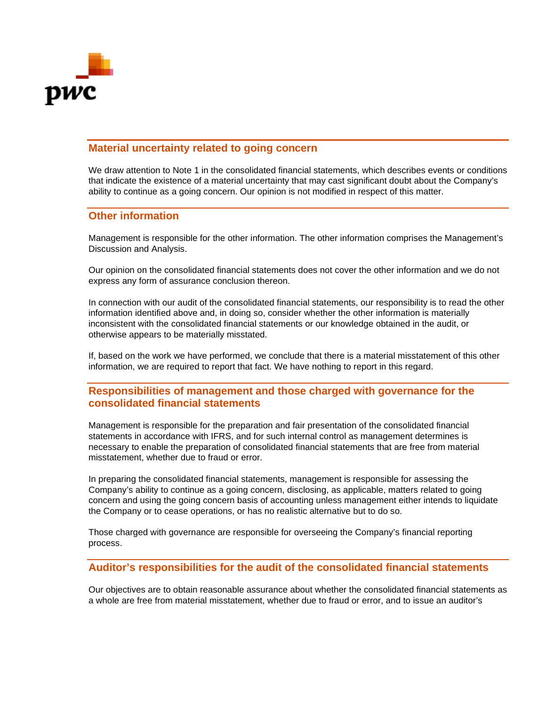

## **Material uncertainty related to going concern**

We draw attention to Note 1 in the consolidated financial statements, which describes events or conditions that indicate the existence of a material uncertainty that may cast significant doubt about the Company's ability to continue as a going concern. Our opinion is not modified in respect of this matter.

## **Other information**

Management is responsible for the other information. The other information comprises the Management's Discussion and Analysis.

Our opinion on the consolidated financial statements does not cover the other information and we do not express any form of assurance conclusion thereon.

In connection with our audit of the consolidated financial statements, our responsibility is to read the other information identified above and, in doing so, consider whether the other information is materially inconsistent with the consolidated financial statements or our knowledge obtained in the audit, or otherwise appears to be materially misstated.

If, based on the work we have performed, we conclude that there is a material misstatement of this other information, we are required to report that fact. We have nothing to report in this regard.

## **Responsibilities of management and those charged with governance for the consolidated financial statements**

Management is responsible for the preparation and fair presentation of the consolidated financial statements in accordance with IFRS, and for such internal control as management determines is necessary to enable the preparation of consolidated financial statements that are free from material misstatement, whether due to fraud or error.

In preparing the consolidated financial statements, management is responsible for assessing the Company's ability to continue as a going concern, disclosing, as applicable, matters related to going concern and using the going concern basis of accounting unless management either intends to liquidate the Company or to cease operations, or has no realistic alternative but to do so.

Those charged with governance are responsible for overseeing the Company's financial reporting process.

## **Auditor's responsibilities for the audit of the consolidated financial statements**

Our objectives are to obtain reasonable assurance about whether the consolidated financial statements as a whole are free from material misstatement, whether due to fraud or error, and to issue an auditor's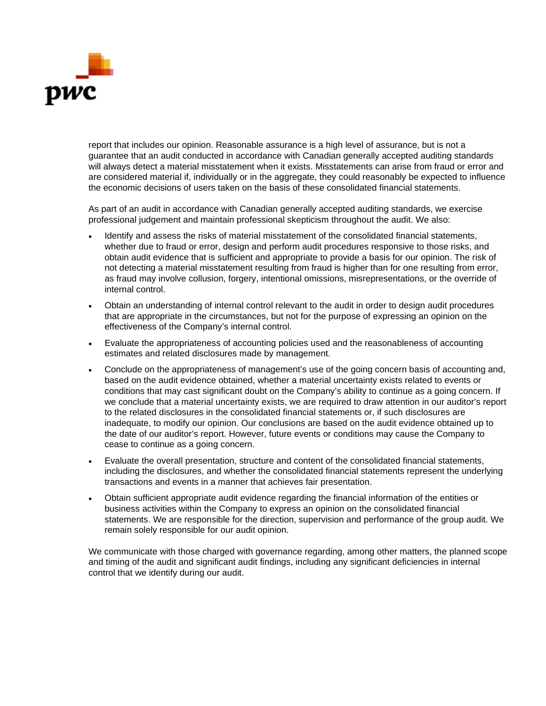

report that includes our opinion. Reasonable assurance is a high level of assurance, but is not a guarantee that an audit conducted in accordance with Canadian generally accepted auditing standards will always detect a material misstatement when it exists. Misstatements can arise from fraud or error and are considered material if, individually or in the aggregate, they could reasonably be expected to influence the economic decisions of users taken on the basis of these consolidated financial statements.

As part of an audit in accordance with Canadian generally accepted auditing standards, we exercise professional judgement and maintain professional skepticism throughout the audit. We also:

- Identify and assess the risks of material misstatement of the consolidated financial statements, whether due to fraud or error, design and perform audit procedures responsive to those risks, and obtain audit evidence that is sufficient and appropriate to provide a basis for our opinion. The risk of not detecting a material misstatement resulting from fraud is higher than for one resulting from error, as fraud may involve collusion, forgery, intentional omissions, misrepresentations, or the override of internal control.
- Obtain an understanding of internal control relevant to the audit in order to design audit procedures that are appropriate in the circumstances, but not for the purpose of expressing an opinion on the effectiveness of the Company's internal control.
- Evaluate the appropriateness of accounting policies used and the reasonableness of accounting estimates and related disclosures made by management.
- Conclude on the appropriateness of management's use of the going concern basis of accounting and, based on the audit evidence obtained, whether a material uncertainty exists related to events or conditions that may cast significant doubt on the Company's ability to continue as a going concern. If we conclude that a material uncertainty exists, we are required to draw attention in our auditor's report to the related disclosures in the consolidated financial statements or, if such disclosures are inadequate, to modify our opinion. Our conclusions are based on the audit evidence obtained up to the date of our auditor's report. However, future events or conditions may cause the Company to cease to continue as a going concern.
- Evaluate the overall presentation, structure and content of the consolidated financial statements, including the disclosures, and whether the consolidated financial statements represent the underlying transactions and events in a manner that achieves fair presentation.
- Obtain sufficient appropriate audit evidence regarding the financial information of the entities or business activities within the Company to express an opinion on the consolidated financial statements. We are responsible for the direction, supervision and performance of the group audit. We remain solely responsible for our audit opinion.

We communicate with those charged with governance regarding, among other matters, the planned scope and timing of the audit and significant audit findings, including any significant deficiencies in internal control that we identify during our audit.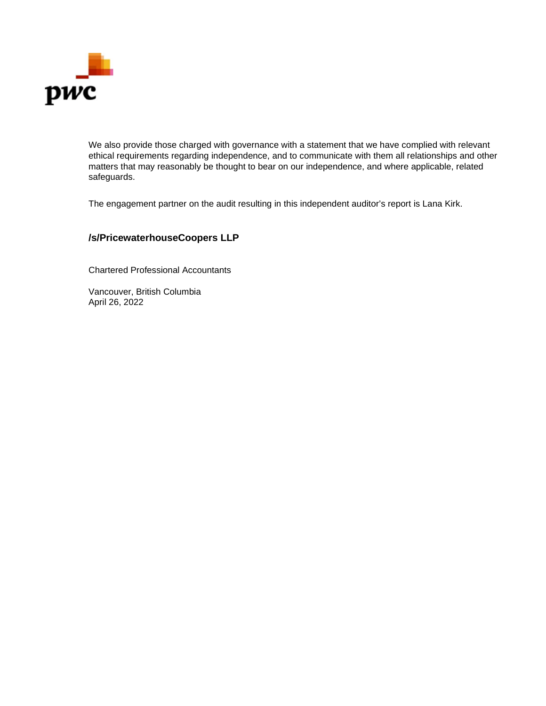

We also provide those charged with governance with a statement that we have complied with relevant ethical requirements regarding independence, and to communicate with them all relationships and other matters that may reasonably be thought to bear on our independence, and where applicable, related safeguards.

The engagement partner on the audit resulting in this independent auditor's report is Lana Kirk.

## **/s/PricewaterhouseCoopers LLP**

Chartered Professional Accountants

Vancouver, British Columbia April 26, 2022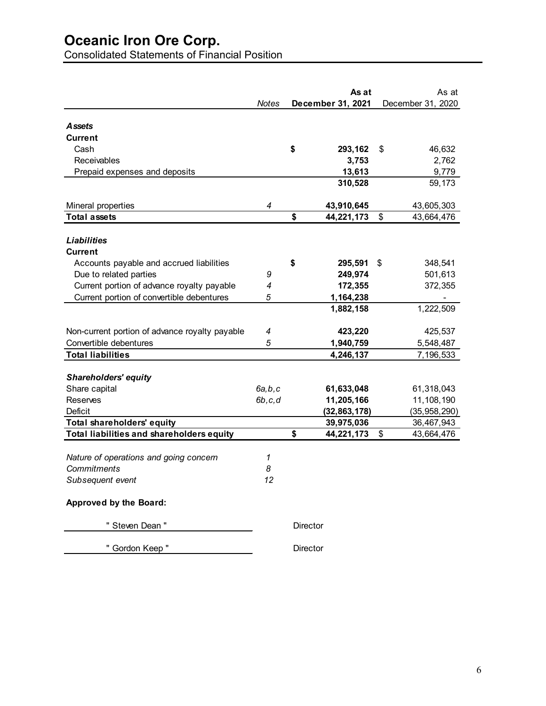Consolidated Statements of Financial Position

|                                                |              | As at             |    | As at             |
|------------------------------------------------|--------------|-------------------|----|-------------------|
|                                                | <b>Notes</b> | December 31, 2021 |    | December 31, 2020 |
|                                                |              |                   |    |                   |
| <b>Assets</b>                                  |              |                   |    |                   |
| <b>Current</b>                                 |              |                   |    |                   |
| Cash                                           |              | \$<br>293,162     | \$ | 46,632            |
| Receivables                                    |              | 3,753             |    | 2,762             |
| Prepaid expenses and deposits                  |              | 13,613            |    | 9,779             |
|                                                |              | 310,528           |    | 59,173            |
| Mineral properties                             | 4            | 43,910,645        |    | 43,605,303        |
| <b>Total assets</b>                            |              | \$<br>44,221,173  | \$ | 43,664,476        |
|                                                |              |                   |    |                   |
| <b>Liabilities</b>                             |              |                   |    |                   |
| <b>Current</b>                                 |              |                   |    |                   |
| Accounts payable and accrued liabilities       |              | \$<br>295,591     | S  | 348,541           |
| Due to related parties                         | 9            | 249,974           |    | 501,613           |
| Current portion of advance royalty payable     | 4            | 172,355           |    | 372,355           |
| Current portion of convertible debentures      | 5            | 1,164,238         |    |                   |
|                                                |              | 1,882,158         |    | 1,222,509         |
| Non-current portion of advance royalty payable | 4            | 423,220           |    | 425,537           |
| Convertible debentures                         | 5            | 1,940,759         |    | 5,548,487         |
| <b>Total liabilities</b>                       |              | 4,246,137         |    | 7,196,533         |
|                                                |              |                   |    |                   |
| <b>Shareholders' equity</b>                    |              |                   |    |                   |
| Share capital                                  | 6a,b,c       | 61,633,048        |    | 61,318,043        |
| <b>Reserves</b>                                | 6b, c, d     | 11,205,166        |    | 11,108,190        |
| Deficit                                        |              | (32, 863, 178)    |    | (35, 958, 290)    |
| <b>Total shareholders' equity</b>              |              | 39,975,036        |    | 36,467,943        |
| Total liabilities and shareholders equity      |              | \$<br>44,221,173  | \$ | 43,664,476        |
|                                                |              |                   |    |                   |
| Nature of operations and going concern         | 1            |                   |    |                   |
| Commitments                                    | 8            |                   |    |                   |
| Subsequent event                               | 12           |                   |    |                   |
| Approved by the Board:                         |              |                   |    |                   |
| " Steven Dean "                                |              | Director          |    |                   |
| " Gordon Keep "                                |              | Director          |    |                   |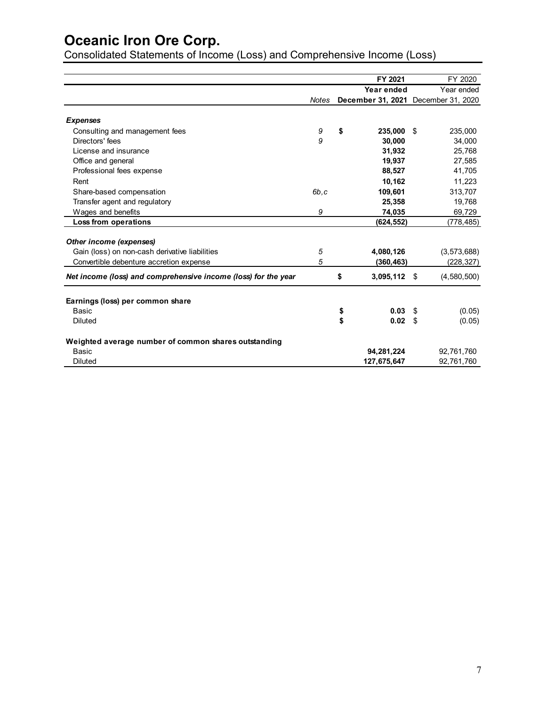Consolidated Statements of Income (Loss) and Comprehensive Income (Loss)

|                                                                |              | FY 2021         |     | FY 2020                             |
|----------------------------------------------------------------|--------------|-----------------|-----|-------------------------------------|
|                                                                |              | Year ended      |     | Year ended                          |
|                                                                | <b>Notes</b> |                 |     | December 31, 2021 December 31, 2020 |
| <b>Expenses</b>                                                |              |                 |     |                                     |
| Consulting and management fees                                 | 9            | \$<br>235,000   | \$  | 235,000                             |
| Directors' fees                                                | 9            | 30.000          |     | 34,000                              |
| License and insurance                                          |              | 31,932          |     | 25,768                              |
| Office and general                                             |              | 19,937          |     | 27,585                              |
| Professional fees expense                                      |              | 88,527          |     | 41,705                              |
| Rent                                                           |              | 10,162          |     | 11,223                              |
| Share-based compensation                                       | 6b, c        | 109,601         |     | 313,707                             |
| Transfer agent and regulatory                                  |              | 25,358          |     | 19,768                              |
| Wages and benefits                                             | 9            | 74,035          |     | 69,729                              |
| Loss from operations                                           |              | (624, 552)      |     | (778,485)                           |
| Other income (expenses)                                        |              |                 |     |                                     |
| Gain (loss) on non-cash derivative liabilities                 | 5            | 4,080,126       |     | (3,573,688)                         |
| Convertible debenture accretion expense                        | 5            | (360, 463)      |     | (228, 327)                          |
| Net income (loss) and comprehensive income (loss) for the year |              | \$<br>3,095,112 | -\$ | (4,580,500)                         |
| Earnings (loss) per common share                               |              |                 |     |                                     |
| Basic                                                          |              | \$<br>0.03      | \$  | (0.05)                              |
| <b>Diluted</b>                                                 |              | \$<br>0.02      | \$  | (0.05)                              |
| Weighted average number of common shares outstanding           |              |                 |     |                                     |
| Basic                                                          |              | 94,281,224      |     | 92,761,760                          |
| <b>Diluted</b>                                                 |              | 127,675,647     |     | 92,761,760                          |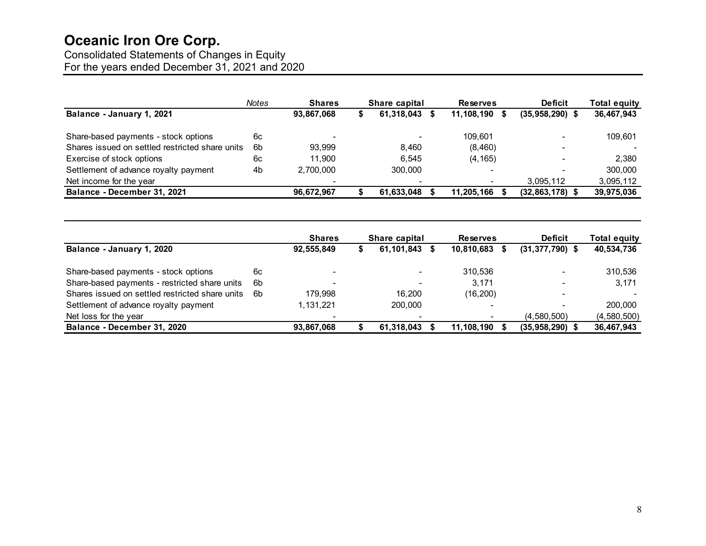| Consolidated Statements of Changes in Equity   |
|------------------------------------------------|
| For the years ended December 31, 2021 and 2020 |

|                                                 | <b>Notes</b> | <b>Shares</b> | Share capital | <b>Reserves</b> | <b>Deficit</b>           | Total equity |
|-------------------------------------------------|--------------|---------------|---------------|-----------------|--------------------------|--------------|
| Balance - January 1, 2021                       |              | 93,867,068    | 61,318,043    | 11,108,190 \$   | $(35,958,290)$ \$        | 36,467,943   |
| Share-based payments - stock options            | 6с           |               |               | 109.601         | $\overline{\phantom{0}}$ | 109.601      |
| Shares issued on settled restricted share units | 6b           | 93.999        | 8,460         | (8,460)         | $\overline{\phantom{0}}$ |              |
| Exercise of stock options                       | 6с           | 11.900        | 6.545         | (4, 165)        | $\overline{\phantom{0}}$ | 2.380        |
| Settlement of advance royalty payment           | 4b           | 2,700,000     | 300,000       | -               | $\overline{\phantom{0}}$ | 300,000      |
| Net income for the year                         |              |               |               |                 | 3.095.112                | 3,095,112    |
| Balance - December 31, 2021                     |              | 96.672.967    | 61,633,048    | 11,205,166      | $(32,863,178)$ \$        | 39,975,036   |

|                                                 |    | <b>Shares</b> | Share capital | <b>Reserves</b> | <b>Deficit</b>      | <b>Total equity</b> |
|-------------------------------------------------|----|---------------|---------------|-----------------|---------------------|---------------------|
| Balance - January 1, 2020                       |    | 92,555,849    | 61,101,843    | 10,810,683      | $(31, 377, 790)$ \$ | 40,534,736          |
| Share-based payments - stock options            | 6с |               | ۰             | 310.536         |                     | 310.536             |
| Share-based payments - restricted share units   | 6b |               |               | 3.171           |                     | 3,171               |
| Shares issued on settled restricted share units | 6b | 179.998       | 16.200        | (16, 200)       |                     |                     |
| Settlement of advance royalty payment           |    | 1,131,221     | 200,000       | -               |                     | 200.000             |
| Net loss for the year                           |    |               |               |                 | (4,580,500)         | (4,580,500)         |
| Balance - December 31, 2020                     |    | 93,867,068    | 61.318.043    | 11.108.190      | $(35,958,290)$ \$   | 36,467,943          |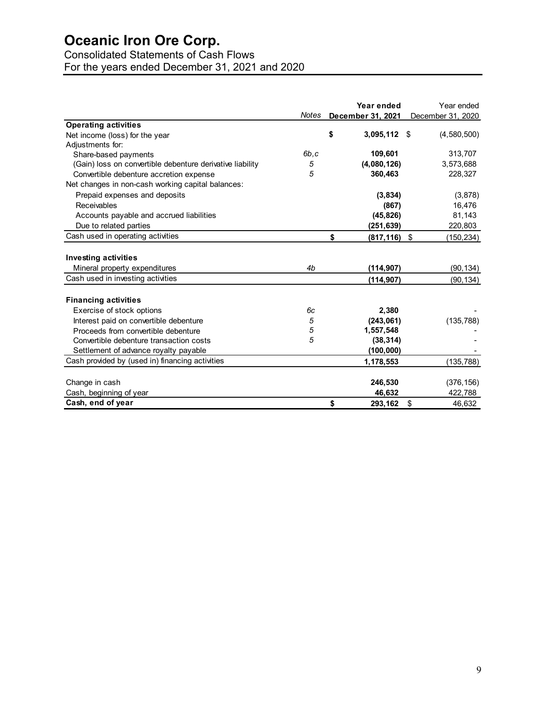## Consolidated Statements of Cash Flows For the years ended December 31, 2021 and 2020

|                                                                                                      |        | Year ended             | Year ended        |
|------------------------------------------------------------------------------------------------------|--------|------------------------|-------------------|
|                                                                                                      | Notes  | December 31, 2021      | December 31, 2020 |
| <b>Operating activities</b>                                                                          |        | \$<br>$3,095,112$ \$   | (4,580,500)       |
| Net income (loss) for the year                                                                       |        |                        |                   |
| Adjustments for:                                                                                     | 6b, c  | 109,601                | 313,707           |
| Share-based payments                                                                                 |        |                        | 3,573,688         |
| (Gain) loss on convertible debenture derivative liability<br>Convertible debenture accretion expense | 5<br>5 | (4,080,126)<br>360,463 | 228,327           |
|                                                                                                      |        |                        |                   |
| Net changes in non-cash working capital balances:                                                    |        |                        |                   |
| Prepaid expenses and deposits                                                                        |        | (3,834)                | (3,878)           |
| Receivables                                                                                          |        | (867)                  | 16,476            |
| Accounts payable and accrued liabilities                                                             |        | (45, 826)              | 81,143            |
| Due to related parties                                                                               |        | (251, 639)             | 220,803           |
| Cash used in operating activities                                                                    |        | \$<br>(817,116)        | \$<br>(150, 234)  |
| <b>Investing activities</b>                                                                          |        |                        |                   |
| Mineral property expenditures                                                                        | 4b     | (114,907)              | (90, 134)         |
| Cash used in investing activities                                                                    |        | (114,907)              | (90, 134)         |
| <b>Financing activities</b>                                                                          |        |                        |                   |
| Exercise of stock options                                                                            | 6с     | 2,380                  |                   |
| Interest paid on convertible debenture                                                               | 5      | (243,061)              | (135, 788)        |
| Proceeds from convertible debenture                                                                  | 5      | 1,557,548              |                   |
| Convertible debenture transaction costs                                                              | 5      | (38, 314)              |                   |
| Settlement of advance royalty payable                                                                |        | (100, 000)             |                   |
| Cash provided by (used in) financing activities                                                      |        | 1,178,553              | (135, 788)        |
| Change in cash                                                                                       |        | 246,530                | (376, 156)        |
|                                                                                                      |        |                        |                   |
| Cash, beginning of year                                                                              |        | 46,632                 | 422,788           |
| Cash, end of year                                                                                    |        | \$<br>293,162          | \$<br>46,632      |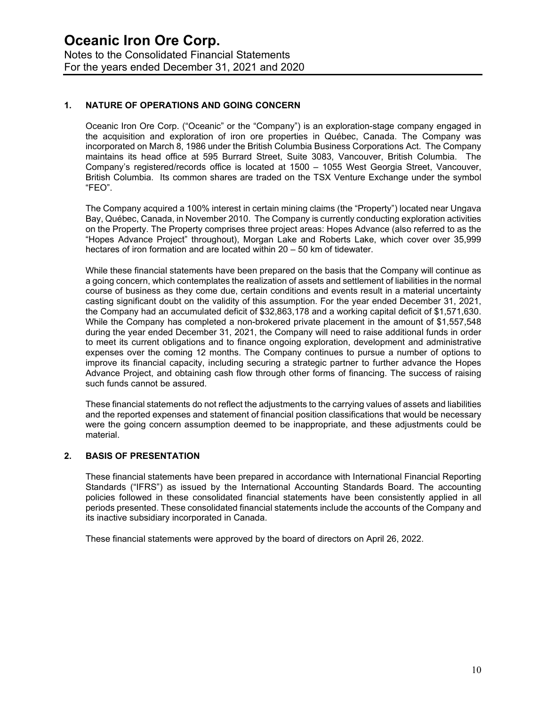### **1. NATURE OF OPERATIONS AND GOING CONCERN**

Oceanic Iron Ore Corp. ("Oceanic" or the "Company") is an exploration-stage company engaged in the acquisition and exploration of iron ore properties in Québec, Canada. The Company was incorporated on March 8, 1986 under the British Columbia Business Corporations Act. The Company maintains its head office at 595 Burrard Street, Suite 3083, Vancouver, British Columbia. The Company's registered/records office is located at 1500 – 1055 West Georgia Street, Vancouver, British Columbia. Its common shares are traded on the TSX Venture Exchange under the symbol "FEO".

The Company acquired a 100% interest in certain mining claims (the "Property") located near Ungava Bay, Québec, Canada, in November 2010. The Company is currently conducting exploration activities on the Property. The Property comprises three project areas: Hopes Advance (also referred to as the "Hopes Advance Project" throughout), Morgan Lake and Roberts Lake, which cover over 35,999 hectares of iron formation and are located within 20 – 50 km of tidewater.

While these financial statements have been prepared on the basis that the Company will continue as a going concern, which contemplates the realization of assets and settlement of liabilities in the normal course of business as they come due, certain conditions and events result in a material uncertainty casting significant doubt on the validity of this assumption. For the year ended December 31, 2021, the Company had an accumulated deficit of \$32,863,178 and a working capital deficit of \$1,571,630. While the Company has completed a non-brokered private placement in the amount of \$1,557,548 during the year ended December 31, 2021, the Company will need to raise additional funds in order to meet its current obligations and to finance ongoing exploration, development and administrative expenses over the coming 12 months. The Company continues to pursue a number of options to improve its financial capacity, including securing a strategic partner to further advance the Hopes Advance Project, and obtaining cash flow through other forms of financing. The success of raising such funds cannot be assured.

These financial statements do not reflect the adjustments to the carrying values of assets and liabilities and the reported expenses and statement of financial position classifications that would be necessary were the going concern assumption deemed to be inappropriate, and these adjustments could be material.

### **2. BASIS OF PRESENTATION**

These financial statements have been prepared in accordance with International Financial Reporting Standards ("IFRS") as issued by the International Accounting Standards Board. The accounting policies followed in these consolidated financial statements have been consistently applied in all periods presented. These consolidated financial statements include the accounts of the Company and its inactive subsidiary incorporated in Canada.

These financial statements were approved by the board of directors on April 26, 2022.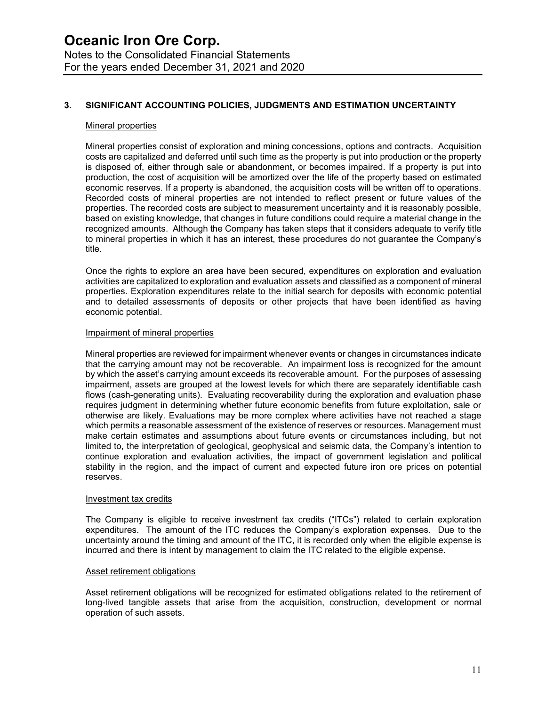#### **3. SIGNIFICANT ACCOUNTING POLICIES, JUDGMENTS AND ESTIMATION UNCERTAINTY**

#### Mineral properties

Mineral properties consist of exploration and mining concessions, options and contracts. Acquisition costs are capitalized and deferred until such time as the property is put into production or the property is disposed of, either through sale or abandonment, or becomes impaired. If a property is put into production, the cost of acquisition will be amortized over the life of the property based on estimated economic reserves. If a property is abandoned, the acquisition costs will be written off to operations. Recorded costs of mineral properties are not intended to reflect present or future values of the properties. The recorded costs are subject to measurement uncertainty and it is reasonably possible, based on existing knowledge, that changes in future conditions could require a material change in the recognized amounts. Although the Company has taken steps that it considers adequate to verify title to mineral properties in which it has an interest, these procedures do not guarantee the Company's title.

Once the rights to explore an area have been secured, expenditures on exploration and evaluation activities are capitalized to exploration and evaluation assets and classified as a component of mineral properties. Exploration expenditures relate to the initial search for deposits with economic potential and to detailed assessments of deposits or other projects that have been identified as having economic potential.

#### Impairment of mineral properties

Mineral properties are reviewed for impairment whenever events or changes in circumstances indicate that the carrying amount may not be recoverable. An impairment loss is recognized for the amount by which the asset's carrying amount exceeds its recoverable amount. For the purposes of assessing impairment, assets are grouped at the lowest levels for which there are separately identifiable cash flows (cash-generating units). Evaluating recoverability during the exploration and evaluation phase requires judgment in determining whether future economic benefits from future exploitation, sale or otherwise are likely. Evaluations may be more complex where activities have not reached a stage which permits a reasonable assessment of the existence of reserves or resources. Management must make certain estimates and assumptions about future events or circumstances including, but not limited to, the interpretation of geological, geophysical and seismic data, the Company's intention to continue exploration and evaluation activities, the impact of government legislation and political stability in the region, and the impact of current and expected future iron ore prices on potential reserves.

#### Investment tax credits

The Company is eligible to receive investment tax credits ("ITCs") related to certain exploration expenditures. The amount of the ITC reduces the Company's exploration expenses. Due to the uncertainty around the timing and amount of the ITC, it is recorded only when the eligible expense is incurred and there is intent by management to claim the ITC related to the eligible expense.

#### Asset retirement obligations

Asset retirement obligations will be recognized for estimated obligations related to the retirement of long-lived tangible assets that arise from the acquisition, construction, development or normal operation of such assets.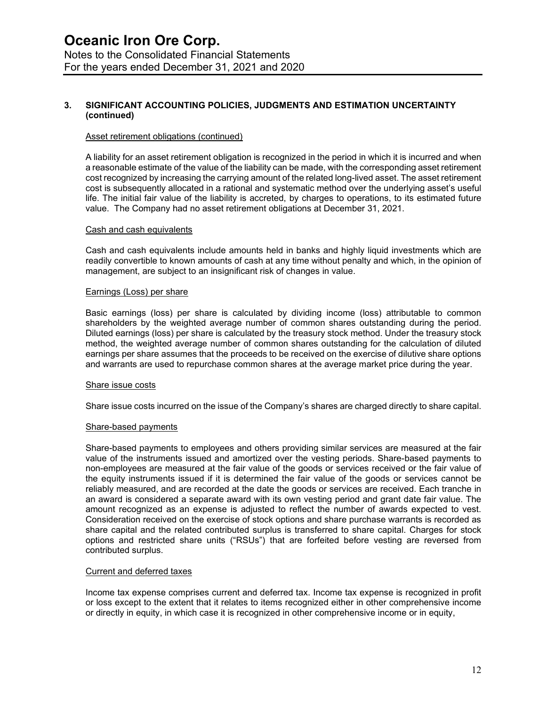#### **3. SIGNIFICANT ACCOUNTING POLICIES, JUDGMENTS AND ESTIMATION UNCERTAINTY (continued)**

#### Asset retirement obligations (continued)

A liability for an asset retirement obligation is recognized in the period in which it is incurred and when a reasonable estimate of the value of the liability can be made, with the corresponding asset retirement cost recognized by increasing the carrying amount of the related long-lived asset. The asset retirement cost is subsequently allocated in a rational and systematic method over the underlying asset's useful life. The initial fair value of the liability is accreted, by charges to operations, to its estimated future value. The Company had no asset retirement obligations at December 31, 2021.

#### Cash and cash equivalents

Cash and cash equivalents include amounts held in banks and highly liquid investments which are readily convertible to known amounts of cash at any time without penalty and which, in the opinion of management, are subject to an insignificant risk of changes in value.

#### Earnings (Loss) per share

Basic earnings (loss) per share is calculated by dividing income (loss) attributable to common shareholders by the weighted average number of common shares outstanding during the period. Diluted earnings (loss) per share is calculated by the treasury stock method. Under the treasury stock method, the weighted average number of common shares outstanding for the calculation of diluted earnings per share assumes that the proceeds to be received on the exercise of dilutive share options and warrants are used to repurchase common shares at the average market price during the year.

#### Share issue costs

Share issue costs incurred on the issue of the Company's shares are charged directly to share capital.

#### Share-based payments

Share-based payments to employees and others providing similar services are measured at the fair value of the instruments issued and amortized over the vesting periods. Share-based payments to non-employees are measured at the fair value of the goods or services received or the fair value of the equity instruments issued if it is determined the fair value of the goods or services cannot be reliably measured, and are recorded at the date the goods or services are received. Each tranche in an award is considered a separate award with its own vesting period and grant date fair value. The amount recognized as an expense is adjusted to reflect the number of awards expected to vest. Consideration received on the exercise of stock options and share purchase warrants is recorded as share capital and the related contributed surplus is transferred to share capital. Charges for stock options and restricted share units ("RSUs") that are forfeited before vesting are reversed from contributed surplus.

#### Current and deferred taxes

Income tax expense comprises current and deferred tax. Income tax expense is recognized in profit or loss except to the extent that it relates to items recognized either in other comprehensive income or directly in equity, in which case it is recognized in other comprehensive income or in equity,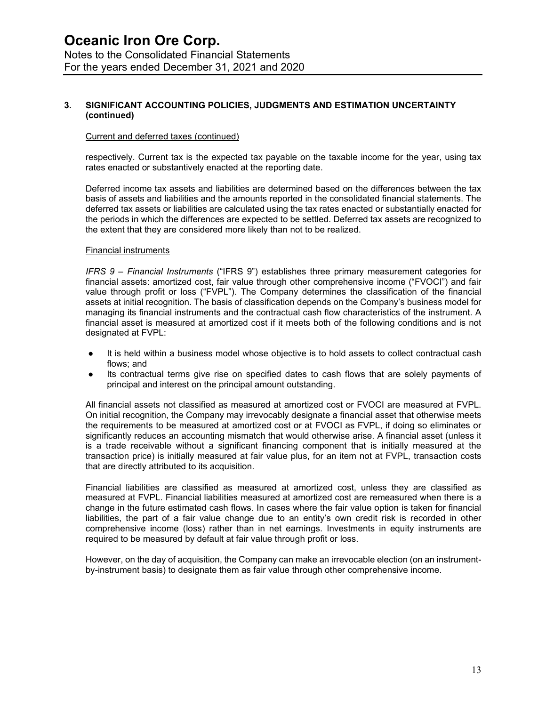#### **3. SIGNIFICANT ACCOUNTING POLICIES, JUDGMENTS AND ESTIMATION UNCERTAINTY (continued)**

#### Current and deferred taxes (continued)

respectively. Current tax is the expected tax payable on the taxable income for the year, using tax rates enacted or substantively enacted at the reporting date.

Deferred income tax assets and liabilities are determined based on the differences between the tax basis of assets and liabilities and the amounts reported in the consolidated financial statements. The deferred tax assets or liabilities are calculated using the tax rates enacted or substantially enacted for the periods in which the differences are expected to be settled. Deferred tax assets are recognized to the extent that they are considered more likely than not to be realized.

#### Financial instruments

*IFRS 9 – Financial Instruments* ("IFRS 9") establishes three primary measurement categories for financial assets: amortized cost, fair value through other comprehensive income ("FVOCI") and fair value through profit or loss ("FVPL"). The Company determines the classification of the financial assets at initial recognition. The basis of classification depends on the Company's business model for managing its financial instruments and the contractual cash flow characteristics of the instrument. A financial asset is measured at amortized cost if it meets both of the following conditions and is not designated at FVPL:

- It is held within a business model whose objective is to hold assets to collect contractual cash flows; and
- Its contractual terms give rise on specified dates to cash flows that are solely payments of principal and interest on the principal amount outstanding.

All financial assets not classified as measured at amortized cost or FVOCI are measured at FVPL. On initial recognition, the Company may irrevocably designate a financial asset that otherwise meets the requirements to be measured at amortized cost or at FVOCI as FVPL, if doing so eliminates or significantly reduces an accounting mismatch that would otherwise arise. A financial asset (unless it is a trade receivable without a significant financing component that is initially measured at the transaction price) is initially measured at fair value plus, for an item not at FVPL, transaction costs that are directly attributed to its acquisition.

Financial liabilities are classified as measured at amortized cost, unless they are classified as measured at FVPL. Financial liabilities measured at amortized cost are remeasured when there is a change in the future estimated cash flows. In cases where the fair value option is taken for financial liabilities, the part of a fair value change due to an entity's own credit risk is recorded in other comprehensive income (loss) rather than in net earnings. Investments in equity instruments are required to be measured by default at fair value through profit or loss.

However, on the day of acquisition, the Company can make an irrevocable election (on an instrumentby-instrument basis) to designate them as fair value through other comprehensive income.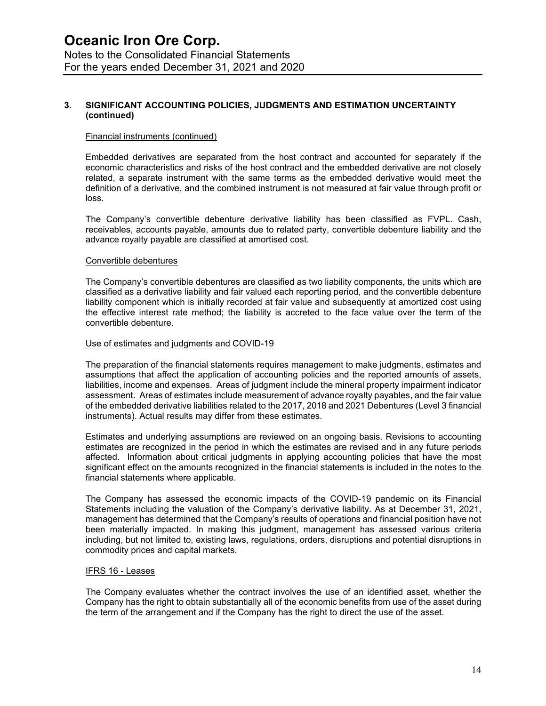#### **3. SIGNIFICANT ACCOUNTING POLICIES, JUDGMENTS AND ESTIMATION UNCERTAINTY (continued)**

#### Financial instruments (continued)

Embedded derivatives are separated from the host contract and accounted for separately if the economic characteristics and risks of the host contract and the embedded derivative are not closely related, a separate instrument with the same terms as the embedded derivative would meet the definition of a derivative, and the combined instrument is not measured at fair value through profit or loss.

The Company's convertible debenture derivative liability has been classified as FVPL. Cash, receivables, accounts payable, amounts due to related party, convertible debenture liability and the advance royalty payable are classified at amortised cost.

#### Convertible debentures

The Company's convertible debentures are classified as two liability components, the units which are classified as a derivative liability and fair valued each reporting period, and the convertible debenture liability component which is initially recorded at fair value and subsequently at amortized cost using the effective interest rate method; the liability is accreted to the face value over the term of the convertible debenture.

#### Use of estimates and judgments and COVID-19

The preparation of the financial statements requires management to make judgments, estimates and assumptions that affect the application of accounting policies and the reported amounts of assets, liabilities, income and expenses. Areas of judgment include the mineral property impairment indicator assessment. Areas of estimates include measurement of advance royalty payables, and the fair value of the embedded derivative liabilities related to the 2017, 2018 and 2021 Debentures (Level 3 financial instruments). Actual results may differ from these estimates.

Estimates and underlying assumptions are reviewed on an ongoing basis. Revisions to accounting estimates are recognized in the period in which the estimates are revised and in any future periods affected. Information about critical judgments in applying accounting policies that have the most significant effect on the amounts recognized in the financial statements is included in the notes to the financial statements where applicable.

The Company has assessed the economic impacts of the COVID-19 pandemic on its Financial Statements including the valuation of the Company's derivative liability. As at December 31, 2021, management has determined that the Company's results of operations and financial position have not been materially impacted. In making this judgment, management has assessed various criteria including, but not limited to, existing laws, regulations, orders, disruptions and potential disruptions in commodity prices and capital markets.

#### IFRS 16 - Leases

The Company evaluates whether the contract involves the use of an identified asset, whether the Company has the right to obtain substantially all of the economic benefits from use of the asset during the term of the arrangement and if the Company has the right to direct the use of the asset.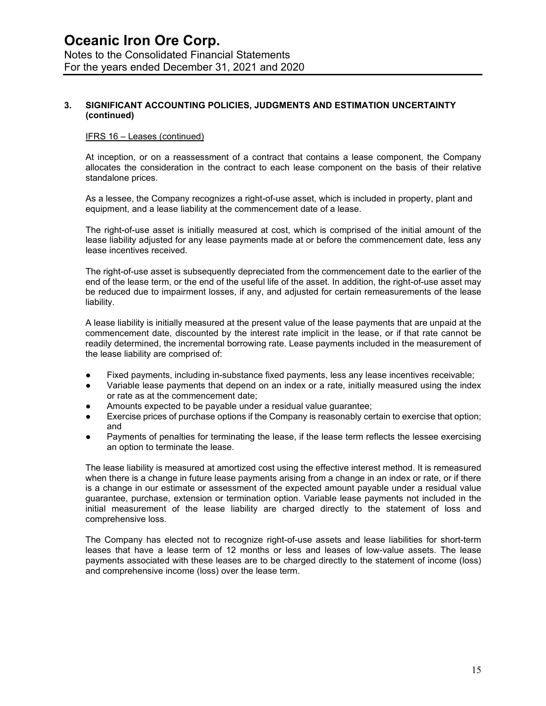#### **3. SIGNIFICANT ACCOUNTING POLICIES, JUDGMENTS AND ESTIMATION UNCERTAINTY (continued)**

#### IFRS 16 – Leases (continued)

At inception, or on a reassessment of a contract that contains a lease component, the Company allocates the consideration in the contract to each lease component on the basis of their relative standalone prices.

As a lessee, the Company recognizes a right-of-use asset, which is included in property, plant and equipment, and a lease liability at the commencement date of a lease.

The right-of-use asset is initially measured at cost, which is comprised of the initial amount of the lease liability adjusted for any lease payments made at or before the commencement date, less any lease incentives received.

The right-of-use asset is subsequently depreciated from the commencement date to the earlier of the end of the lease term, or the end of the useful life of the asset. In addition, the right-of-use asset may be reduced due to impairment losses, if any, and adjusted for certain remeasurements of the lease liability.

A lease liability is initially measured at the present value of the lease payments that are unpaid at the commencement date, discounted by the interest rate implicit in the lease, or if that rate cannot be readily determined, the incremental borrowing rate. Lease payments included in the measurement of the lease liability are comprised of:

- Fixed payments, including in-substance fixed payments, less any lease incentives receivable;
- Variable lease payments that depend on an index or a rate, initially measured using the index or rate as at the commencement date;
- Amounts expected to be payable under a residual value guarantee;
- Exercise prices of purchase options if the Company is reasonably certain to exercise that option; and
- Payments of penalties for terminating the lease, if the lease term reflects the lessee exercising an option to terminate the lease.

The lease liability is measured at amortized cost using the effective interest method. It is remeasured when there is a change in future lease payments arising from a change in an index or rate, or if there is a change in our estimate or assessment of the expected amount payable under a residual value guarantee, purchase, extension or termination option. Variable lease payments not included in the initial measurement of the lease liability are charged directly to the statement of loss and comprehensive loss.

The Company has elected not to recognize right-of-use assets and lease liabilities for short-term leases that have a lease term of 12 months or less and leases of low-value assets. The lease payments associated with these leases are to be charged directly to the statement of income (loss) and comprehensive income (loss) over the lease term.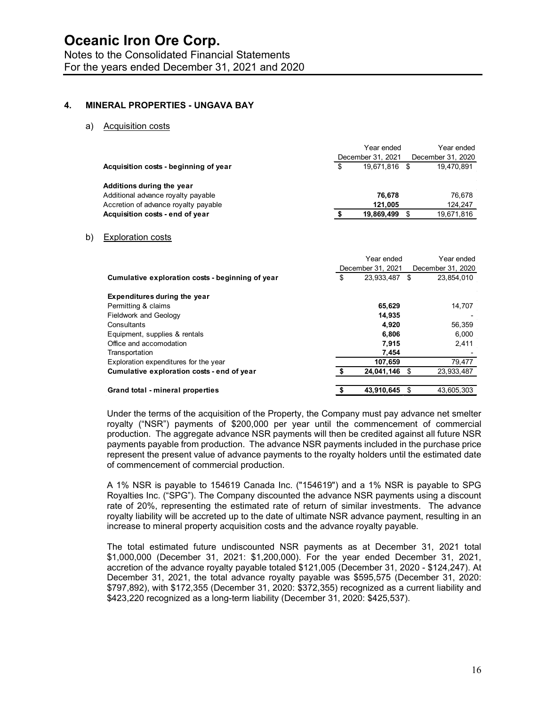#### **4. MINERAL PROPERTIES - UNGAVA BAY**

#### a) Acquisition costs

|                                       |   | Year ended        | Year ended        |
|---------------------------------------|---|-------------------|-------------------|
|                                       |   | December 31, 2021 | December 31, 2020 |
| Acquisition costs - beginning of year | S | 19.671.816        | 19.470.891        |
| Additions during the year             |   |                   |                   |
| Additional advance royalty payable    |   | 76.678            | 76.678            |
| Accretion of advance royalty payable  |   | 121.005           | 124,247           |
| Acquisition costs - end of year       |   | 19.869.499        | 19,671,816        |

#### b) Exploration costs

|                                                  | Year ended<br>December 31, 2021 |            |    | Year ended<br>December 31, 2020 |
|--------------------------------------------------|---------------------------------|------------|----|---------------------------------|
| Cumulative exploration costs - beginning of year | \$                              | 23.933.487 | \$ | 23.854.010                      |
| <b>Expenditures during the year</b>              |                                 |            |    |                                 |
| Permitting & claims                              |                                 | 65.629     |    | 14.707                          |
| <b>Fieldwork and Geology</b>                     |                                 | 14,935     |    |                                 |
| Consultants                                      |                                 | 4.920      |    | 56,359                          |
| Equipment, supplies & rentals                    |                                 | 6.806      |    | 6.000                           |
| Office and accomodation                          |                                 | 7.915      |    | 2,411                           |
| Transportation                                   |                                 | 7.454      |    |                                 |
| Exploration expenditures for the year            |                                 | 107.659    |    | 79,477                          |
| Cumulative exploration costs - end of year       |                                 | 24.041.146 |    | 23.933.487                      |
| Grand total - mineral properties                 |                                 | 43,910,645 |    | 43.605.303                      |

Under the terms of the acquisition of the Property, the Company must pay advance net smelter royalty ("NSR") payments of \$200,000 per year until the commencement of commercial production. The aggregate advance NSR payments will then be credited against all future NSR payments payable from production. The advance NSR payments included in the purchase price represent the present value of advance payments to the royalty holders until the estimated date of commencement of commercial production.

A 1% NSR is payable to 154619 Canada Inc. ("154619") and a 1% NSR is payable to SPG Royalties Inc. ("SPG"). The Company discounted the advance NSR payments using a discount rate of 20%, representing the estimated rate of return of similar investments. The advance royalty liability will be accreted up to the date of ultimate NSR advance payment, resulting in an increase to mineral property acquisition costs and the advance royalty payable.

The total estimated future undiscounted NSR payments as at December 31, 2021 total \$1,000,000 (December 31, 2021: \$1,200,000). For the year ended December 31, 2021, accretion of the advance royalty payable totaled \$121,005 (December 31, 2020 - \$124,247). At December 31, 2021, the total advance royalty payable was \$595,575 (December 31, 2020: \$797,892), with \$172,355 (December 31, 2020: \$372,355) recognized as a current liability and \$423,220 recognized as a long-term liability (December 31, 2020: \$425,537).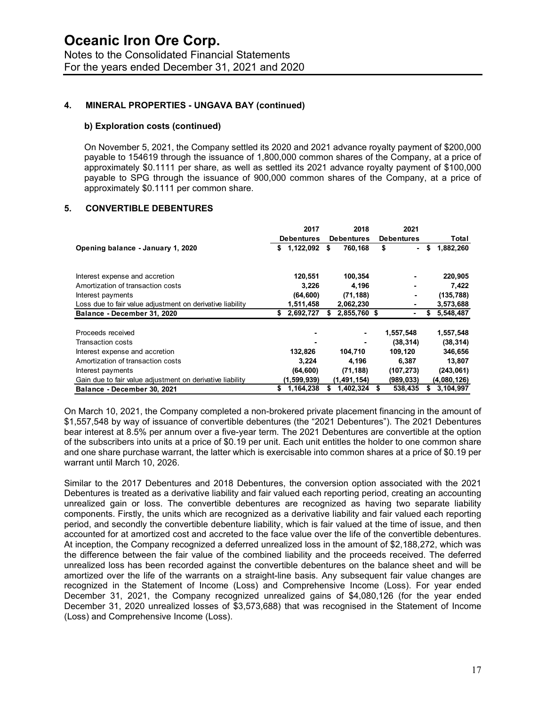### **4. MINERAL PROPERTIES - UNGAVA BAY (continued)**

#### **b) Exploration costs (continued)**

On November 5, 2021, the Company settled its 2020 and 2021 advance royalty payment of \$200,000 payable to 154619 through the issuance of 1,800,000 common shares of the Company, at a price of approximately \$0.1111 per share, as well as settled its 2021 advance royalty payment of \$100,000 payable to SPG through the issuance of 900,000 common shares of the Company, at a price of approximately \$0.1111 per common share.

#### **5. CONVERTIBLE DEBENTURES**

|                                                           | 2017              | 2018              | 2021              |                 |
|-----------------------------------------------------------|-------------------|-------------------|-------------------|-----------------|
|                                                           | <b>Debentures</b> | <b>Debentures</b> | <b>Debentures</b> | Total           |
| Opening balance - January 1, 2020                         | 1,122,092<br>\$   | \$<br>760,168     | \$<br>۰.          | 1,882,260<br>\$ |
| Interest expense and accretion                            | 120,551           | 100,354           |                   | 220,905         |
|                                                           |                   |                   |                   |                 |
| Amortization of transaction costs                         | 3,226             | 4,196             | ۰                 | 7,422           |
| Interest payments                                         | (64, 600)         | (71, 188)         | ۰                 | (135, 788)      |
| Loss due to fair value adjustment on derivative liability | 1,511,458         | 2,062,230         | ۰                 | 3,573,688       |
| Balance - December 31, 2020                               | 2,692,727<br>\$   | 2,855,760 \$      | ۰                 | 5,548,487       |
|                                                           |                   |                   |                   |                 |
| Proceeds received                                         |                   |                   | 1,557,548         | 1,557,548       |
| Transaction costs                                         |                   |                   | (38, 314)         | (38, 314)       |
| Interest expense and accretion                            | 132,826           | 104,710           | 109,120           | 346,656         |
| Amortization of transaction costs                         | 3.224             | 4,196             | 6,387             | 13,807          |
| Interest payments                                         | (64, 600)         | (71, 188)         | (107,273)         | (243,061)       |
|                                                           |                   |                   |                   |                 |
| Gain due to fair value adjustment on derivative liability | (1,599,939)       | (1, 491, 154)     | (989,033)         | (4,080,126)     |

On March 10, 2021, the Company completed a non-brokered private placement financing in the amount of \$1,557,548 by way of issuance of convertible debentures (the "2021 Debentures"). The 2021 Debentures bear interest at 8.5% per annum over a five-year term. The 2021 Debentures are convertible at the option of the subscribers into units at a price of \$0.19 per unit. Each unit entitles the holder to one common share and one share purchase warrant, the latter which is exercisable into common shares at a price of \$0.19 per warrant until March 10, 2026.

Similar to the 2017 Debentures and 2018 Debentures, the conversion option associated with the 2021 Debentures is treated as a derivative liability and fair valued each reporting period, creating an accounting unrealized gain or loss. The convertible debentures are recognized as having two separate liability components. Firstly, the units which are recognized as a derivative liability and fair valued each reporting period, and secondly the convertible debenture liability, which is fair valued at the time of issue, and then accounted for at amortized cost and accreted to the face value over the life of the convertible debentures. At inception, the Company recognized a deferred unrealized loss in the amount of \$2,188,272, which was the difference between the fair value of the combined liability and the proceeds received. The deferred unrealized loss has been recorded against the convertible debentures on the balance sheet and will be amortized over the life of the warrants on a straight-line basis. Any subsequent fair value changes are recognized in the Statement of Income (Loss) and Comprehensive Income (Loss). For year ended December 31, 2021, the Company recognized unrealized gains of \$4,080,126 (for the year ended December 31, 2020 unrealized losses of \$3,573,688) that was recognised in the Statement of Income (Loss) and Comprehensive Income (Loss).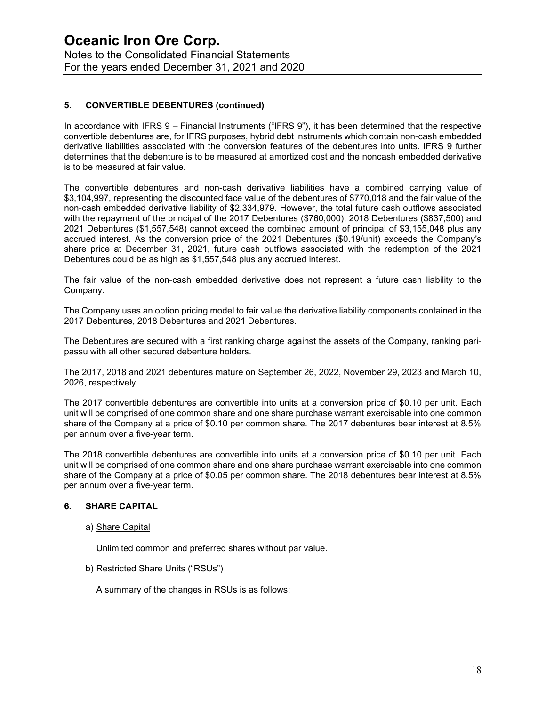## **Oceanic Iron Ore Corp.**  Notes to the Consolidated Financial Statements For the years ended December 31, 2021 and 2020

## **5. CONVERTIBLE DEBENTURES (continued)**

In accordance with IFRS 9 – Financial Instruments ("IFRS 9"), it has been determined that the respective convertible debentures are, for IFRS purposes, hybrid debt instruments which contain non-cash embedded derivative liabilities associated with the conversion features of the debentures into units. IFRS 9 further determines that the debenture is to be measured at amortized cost and the noncash embedded derivative is to be measured at fair value.

The convertible debentures and non-cash derivative liabilities have a combined carrying value of \$3,104,997, representing the discounted face value of the debentures of \$770,018 and the fair value of the non-cash embedded derivative liability of \$2,334,979. However, the total future cash outflows associated with the repayment of the principal of the 2017 Debentures (\$760,000), 2018 Debentures (\$837,500) and 2021 Debentures (\$1,557,548) cannot exceed the combined amount of principal of \$3,155,048 plus any accrued interest. As the conversion price of the 2021 Debentures (\$0.19/unit) exceeds the Company's share price at December 31, 2021, future cash outflows associated with the redemption of the 2021 Debentures could be as high as \$1,557,548 plus any accrued interest.

The fair value of the non-cash embedded derivative does not represent a future cash liability to the Company.

The Company uses an option pricing model to fair value the derivative liability components contained in the 2017 Debentures, 2018 Debentures and 2021 Debentures.

The Debentures are secured with a first ranking charge against the assets of the Company, ranking paripassu with all other secured debenture holders.

The 2017, 2018 and 2021 debentures mature on September 26, 2022, November 29, 2023 and March 10, 2026, respectively.

The 2017 convertible debentures are convertible into units at a conversion price of \$0.10 per unit. Each unit will be comprised of one common share and one share purchase warrant exercisable into one common share of the Company at a price of \$0.10 per common share. The 2017 debentures bear interest at 8.5% per annum over a five-year term.

The 2018 convertible debentures are convertible into units at a conversion price of \$0.10 per unit. Each unit will be comprised of one common share and one share purchase warrant exercisable into one common share of the Company at a price of \$0.05 per common share. The 2018 debentures bear interest at 8.5% per annum over a five-year term.

#### **6. SHARE CAPITAL**

#### a) Share Capital

Unlimited common and preferred shares without par value.

#### b) Restricted Share Units ("RSUs")

A summary of the changes in RSUs is as follows: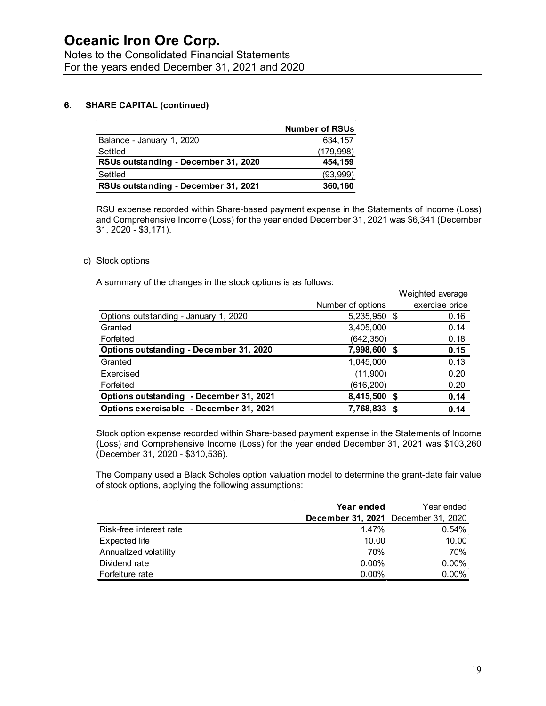### **6. SHARE CAPITAL (continued)**

|                                      | <b>Number of RSUs</b> |
|--------------------------------------|-----------------------|
| Balance - January 1, 2020            | 634,157               |
| Settled                              | (179, 998)            |
| RSUs outstanding - December 31, 2020 | 454.159               |
| Settled                              | (93,999)              |
| RSUs outstanding - December 31, 2021 | 360,160               |

RSU expense recorded within Share-based payment expense in the Statements of Income (Loss) and Comprehensive Income (Loss) for the year ended December 31, 2021 was \$6,341 (December 31, 2020 - \$3,171).

 $\bar{\gamma}$ 

### c) Stock options

A summary of the changes in the stock options is as follows:

|                                         |                   | Weighted average |
|-----------------------------------------|-------------------|------------------|
|                                         | Number of options | exercise price   |
| Options outstanding - January 1, 2020   | 5,235,950 \$      | 0.16             |
| Granted                                 | 3,405,000         | 0.14             |
| Forfeited                               | (642,350)         | 0.18             |
| Options outstanding - December 31, 2020 | 7,998,600         | 0.15<br>£.       |
| Granted                                 | 1,045,000         | 0.13             |
| Exercised                               | (11,900)          | 0.20             |
| Forfeited                               | (616, 200)        | 0.20             |
| Options outstanding - December 31, 2021 | 8,415,500         | 0.14<br>S        |
| Options exercisable - December 31, 2021 | 7,768,833         | 0.14             |

Stock option expense recorded within Share-based payment expense in the Statements of Income (Loss) and Comprehensive Income (Loss) for the year ended December 31, 2021 was \$103,260 (December 31, 2020 - \$310,536).

The Company used a Black Scholes option valuation model to determine the grant-date fair value of stock options, applying the following assumptions:

|                         | Year ended                                 | Year ended |
|-------------------------|--------------------------------------------|------------|
|                         | <b>December 31, 2021</b> December 31, 2020 |            |
| Risk-free interest rate | $1.47\%$                                   | 0.54%      |
| Expected life           | 10.00                                      | 10.00      |
| Annualized volatility   | 70%                                        | 70%        |
| Dividend rate           | $0.00\%$                                   | $0.00\%$   |
| Forfeiture rate         | $0.00\%$                                   | $0.00\%$   |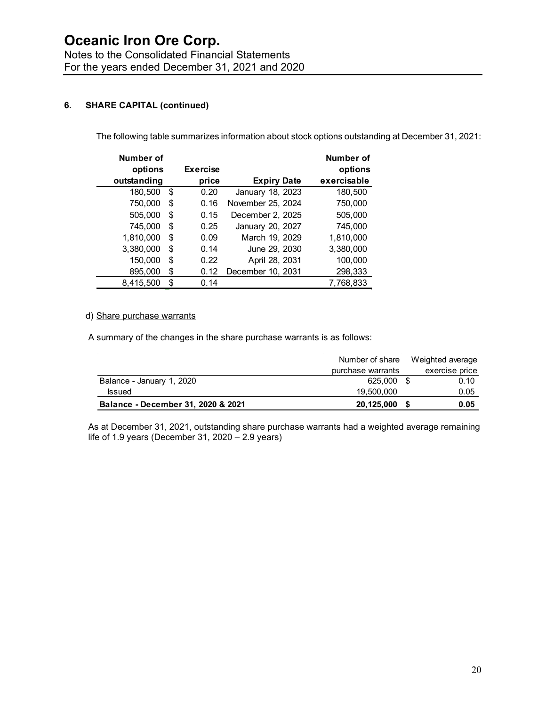## **6. SHARE CAPITAL (continued)**

The following table summarizes information about stock options outstanding at December 31, 2021:

| Number of   |                 |                    | Number of   |
|-------------|-----------------|--------------------|-------------|
| options     | <b>Exercise</b> |                    | options     |
| outstanding | price           | <b>Expiry Date</b> | exercisable |
| 180,500     | \$<br>0.20      | January 18, 2023   | 180,500     |
| 750,000     | \$<br>0.16      | November 25, 2024  | 750,000     |
| 505,000     | \$<br>0.15      | December 2, 2025   | 505,000     |
| 745,000     | \$<br>0.25      | January 20, 2027   | 745,000     |
| 1,810,000   | \$<br>0.09      | March 19, 2029     | 1,810,000   |
| 3,380,000   | \$<br>0.14      | June 29, 2030      | 3,380,000   |
| 150,000     | \$<br>0.22      | April 28, 2031     | 100,000     |
| 895,000     | \$<br>0.12      | December 10, 2031  | 298,333     |
| 8.415.500   | \$<br>0.14      |                    | 7.768.833   |

#### d) Share purchase warrants

A summary of the changes in the share purchase warrants is as follows:

|                                    | Number of share Weighted average |                |
|------------------------------------|----------------------------------|----------------|
|                                    | purchase warrants                | exercise price |
| Balance - January 1, 2020          | 625.000                          | 0.10           |
| <b>Issued</b>                      | 19.500.000                       | 0.05           |
| Balance - December 31, 2020 & 2021 | 20,125,000                       | 0.05           |

As at December 31, 2021, outstanding share purchase warrants had a weighted average remaining life of 1.9 years (December 31, 2020  $- 2.9$  years)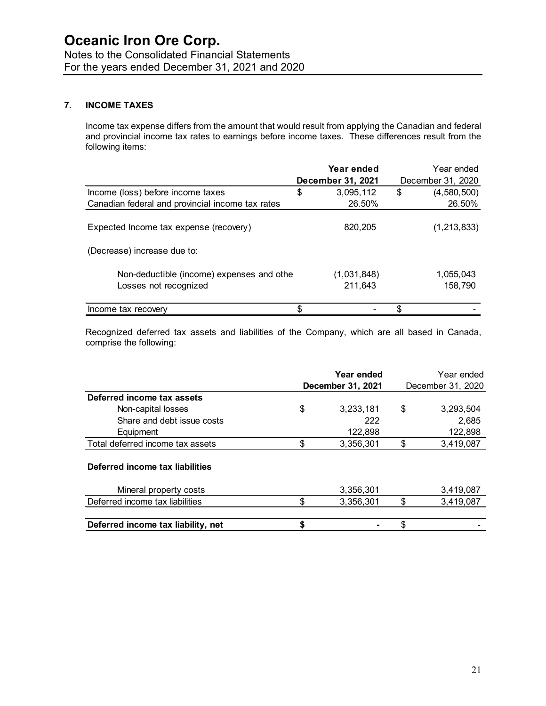Notes to the Consolidated Financial Statements For the years ended December 31, 2021 and 2020

## **7. INCOME TAXES**

Income tax expense differs from the amount that would result from applying the Canadian and federal and provincial income tax rates to earnings before income taxes. These differences result from the following items:

|                                                  | Year ended        | Year ended        |
|--------------------------------------------------|-------------------|-------------------|
|                                                  | December 31, 2021 | December 31, 2020 |
| Income (loss) before income taxes                | \$<br>3,095,112   | \$<br>(4,580,500) |
| Canadian federal and provincial income tax rates | 26.50%            | 26.50%            |
| Expected Income tax expense (recovery)           | 820.205           | (1, 213, 833)     |
| (Decrease) increase due to:                      |                   |                   |
| Non-deductible (income) expenses and othe        | (1,031,848)       | 1,055,043         |
| Losses not recognized                            | 211,643           | 158,790           |
| Income tax recovery                              | \$                |                   |

Recognized deferred tax assets and liabilities of the Company, which are all based in Canada, comprise the following:

|                                  | Year ended<br>December 31, 2021 |     | Year ended<br>December 31, 2020 |
|----------------------------------|---------------------------------|-----|---------------------------------|
| Deferred income tax assets       |                                 |     |                                 |
| Non-capital losses               | \$<br>3,233,181                 | \$. | 3,293,504                       |
| Share and debt issue costs       | 222                             |     | 2.685                           |
| Equipment                        | 122,898                         |     | 122,898                         |
| Total deferred income tax assets | 3,356,301                       |     | 3,419,087                       |
|                                  |                                 |     |                                 |

## **Deferred income tax liabilities**

| Mineral property costs             | 3,356,301 | 3.419.087 |
|------------------------------------|-----------|-----------|
| Deferred income tax liabilities    | 3.356.301 | 3.419.087 |
|                                    |           |           |
| Deferred income tax liability, net | -         | -         |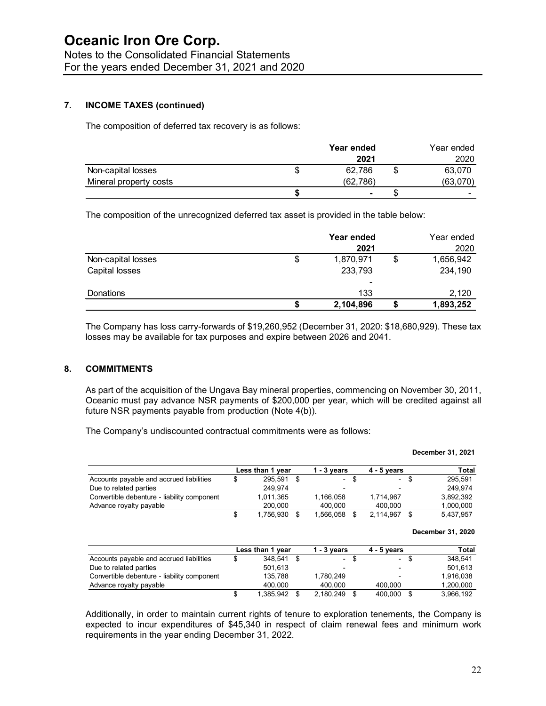### **7. INCOME TAXES (continued)**

The composition of deferred tax recovery is as follows:

|                        |   | Year ended     | Year ended |
|------------------------|---|----------------|------------|
|                        |   | 2021           | 2020       |
| Non-capital losses     | Ψ | 62.786         | 63,070     |
| Mineral property costs |   | (62, 786)      | (63,070)   |
|                        |   | $\blacksquare$ |            |

The composition of the unrecognized deferred tax asset is provided in the table below:

|   | Year ended |                              | Year ended<br>2020 |
|---|------------|------------------------------|--------------------|
|   |            |                              | 1,656,942          |
|   |            |                              |                    |
|   |            |                              | 234,190            |
|   | ۰          |                              |                    |
|   | 133        |                              | 2,120              |
| S | 2,104,896  |                              | 1,893,252          |
|   | \$         | 2021<br>1,870,971<br>233,793 | \$                 |

The Company has loss carry-forwards of \$19,260,952 (December 31, 2020: \$18,680,929). These tax losses may be available for tax purposes and expire between 2026 and 2041.

#### **8. COMMITMENTS**

As part of the acquisition of the Ungava Bay mineral properties, commencing on November 30, 2011, Oceanic must pay advance NSR payments of \$200,000 per year, which will be credited against all future NSR payments payable from production (Note 4(b)).

The Company's undiscounted contractual commitments were as follows:

|                                             |                  |                                |                                | December 31, 2021 |
|---------------------------------------------|------------------|--------------------------------|--------------------------------|-------------------|
|                                             | Less than 1 year | $1 - 3$ years                  | $4 - 5$ years                  | Total             |
| Accounts payable and accrued liabilities    | \$<br>295.591    | \$<br>$\overline{\phantom{0}}$ | \$<br>$\overline{\phantom{0}}$ | \$<br>295,591     |
| Due to related parties                      | 249,974          |                                |                                | 249,974           |
| Convertible debenture - liability component | 1,011,365        | 1,166,058                      | 1,714,967                      | 3,892,392         |
| Advance royalty payable                     | 200,000          | 400,000                        | 400,000                        | 1,000,000         |
|                                             | \$<br>1.756.930  | \$<br>1,566,058                | \$<br>2.114.967                | \$<br>5.437.957   |
|                                             |                  |                                |                                | December 31, 2020 |
|                                             | Less than 1 year | $1 - 3$ years                  | $4 - 5$ years                  | Total             |
| Accounts payable and accrued liabilities    | \$<br>348.541    | \$<br>$\overline{\phantom{0}}$ | \$<br>$\overline{\phantom{0}}$ | \$<br>348.541     |
| Due to related parties                      | 501,613          |                                |                                | 501,613           |
| Convertible debenture - liability component | 135,788          | 1,780,249                      |                                | 1,916,038         |
| Advance royalty payable                     | 400.000          | 400.000                        | 400.000                        | 1,200,000         |

Additionally, in order to maintain current rights of tenure to exploration tenements, the Company is expected to incur expenditures of \$45,340 in respect of claim renewal fees and minimum work requirements in the year ending December 31, 2022.

\$ 1,385,942 \$ 2,180,249 \$ 400,000 \$ 3,966,192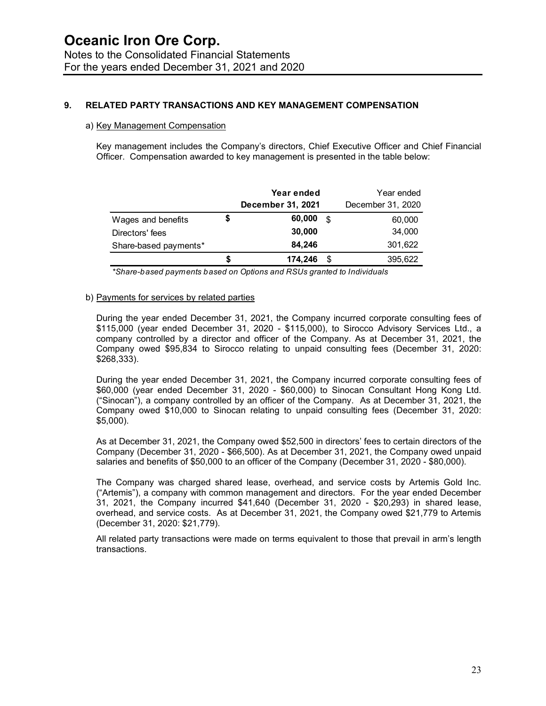## **9. RELATED PARTY TRANSACTIONS AND KEY MANAGEMENT COMPENSATION**

#### a) Key Management Compensation

Key management includes the Company's directors, Chief Executive Officer and Chief Financial Officer. Compensation awarded to key management is presented in the table below:

|                       |    | Year ended        |    | Year ended        |
|-----------------------|----|-------------------|----|-------------------|
|                       |    | December 31, 2021 |    | December 31, 2020 |
| Wages and benefits    | \$ | 60,000            | £. | 60,000            |
| Directors' fees       |    | 30,000            |    | 34,000            |
| Share-based payments* |    | 84,246            |    | 301,622           |
|                       | S  | 174.246           | S  | 395,622           |

*\*Share-based payments based on Options and RSUs granted to Individuals*

#### b) Payments for services by related parties

During the year ended December 31, 2021, the Company incurred corporate consulting fees of \$115,000 (year ended December 31, 2020 - \$115,000), to Sirocco Advisory Services Ltd., a company controlled by a director and officer of the Company. As at December 31, 2021, the Company owed \$95,834 to Sirocco relating to unpaid consulting fees (December 31, 2020: \$268,333).

During the year ended December 31, 2021, the Company incurred corporate consulting fees of \$60,000 (year ended December 31, 2020 - \$60,000) to Sinocan Consultant Hong Kong Ltd. ("Sinocan"), a company controlled by an officer of the Company. As at December 31, 2021, the Company owed \$10,000 to Sinocan relating to unpaid consulting fees (December 31, 2020: \$5,000).

As at December 31, 2021, the Company owed \$52,500 in directors' fees to certain directors of the Company (December 31, 2020 - \$66,500). As at December 31, 2021, the Company owed unpaid salaries and benefits of \$50,000 to an officer of the Company (December 31, 2020 - \$80,000).

The Company was charged shared lease, overhead, and service costs by Artemis Gold Inc. ("Artemis"), a company with common management and directors. For the year ended December 31, 2021, the Company incurred \$41,640 (December 31, 2020 - \$20,293) in shared lease, overhead, and service costs. As at December 31, 2021, the Company owed \$21,779 to Artemis (December 31, 2020: \$21,779).

All related party transactions were made on terms equivalent to those that prevail in arm's length transactions.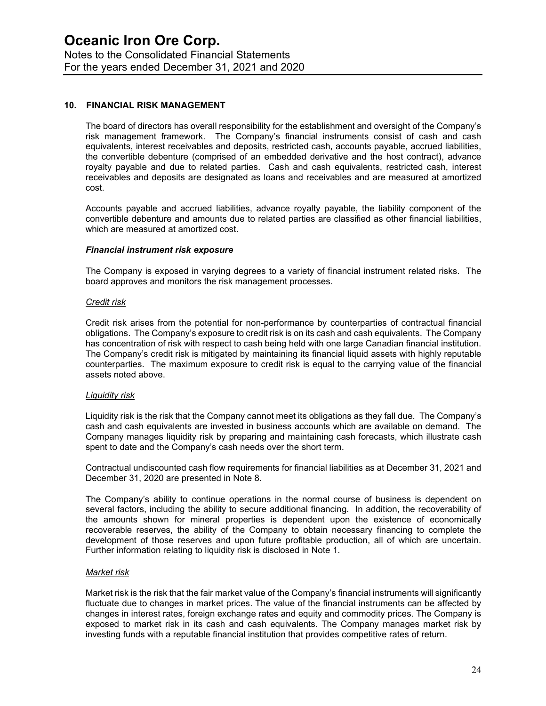Notes to the Consolidated Financial Statements For the years ended December 31, 2021 and 2020

### **10. FINANCIAL RISK MANAGEMENT**

The board of directors has overall responsibility for the establishment and oversight of the Company's risk management framework. The Company's financial instruments consist of cash and cash equivalents, interest receivables and deposits, restricted cash, accounts payable, accrued liabilities, the convertible debenture (comprised of an embedded derivative and the host contract), advance royalty payable and due to related parties. Cash and cash equivalents, restricted cash, interest receivables and deposits are designated as loans and receivables and are measured at amortized cost.

Accounts payable and accrued liabilities, advance royalty payable, the liability component of the convertible debenture and amounts due to related parties are classified as other financial liabilities, which are measured at amortized cost.

#### *Financial instrument risk exposure*

The Company is exposed in varying degrees to a variety of financial instrument related risks. The board approves and monitors the risk management processes.

#### *Credit risk*

Credit risk arises from the potential for non-performance by counterparties of contractual financial obligations. The Company's exposure to credit risk is on its cash and cash equivalents. The Company has concentration of risk with respect to cash being held with one large Canadian financial institution. The Company's credit risk is mitigated by maintaining its financial liquid assets with highly reputable counterparties. The maximum exposure to credit risk is equal to the carrying value of the financial assets noted above.

#### *Liquidity risk*

Liquidity risk is the risk that the Company cannot meet its obligations as they fall due. The Company's cash and cash equivalents are invested in business accounts which are available on demand. The Company manages liquidity risk by preparing and maintaining cash forecasts, which illustrate cash spent to date and the Company's cash needs over the short term.

Contractual undiscounted cash flow requirements for financial liabilities as at December 31, 2021 and December 31, 2020 are presented in Note 8.

The Company's ability to continue operations in the normal course of business is dependent on several factors, including the ability to secure additional financing. In addition, the recoverability of the amounts shown for mineral properties is dependent upon the existence of economically recoverable reserves, the ability of the Company to obtain necessary financing to complete the development of those reserves and upon future profitable production, all of which are uncertain. Further information relating to liquidity risk is disclosed in Note 1.

### *Market risk*

Market risk is the risk that the fair market value of the Company's financial instruments will significantly fluctuate due to changes in market prices. The value of the financial instruments can be affected by changes in interest rates, foreign exchange rates and equity and commodity prices. The Company is exposed to market risk in its cash and cash equivalents. The Company manages market risk by investing funds with a reputable financial institution that provides competitive rates of return.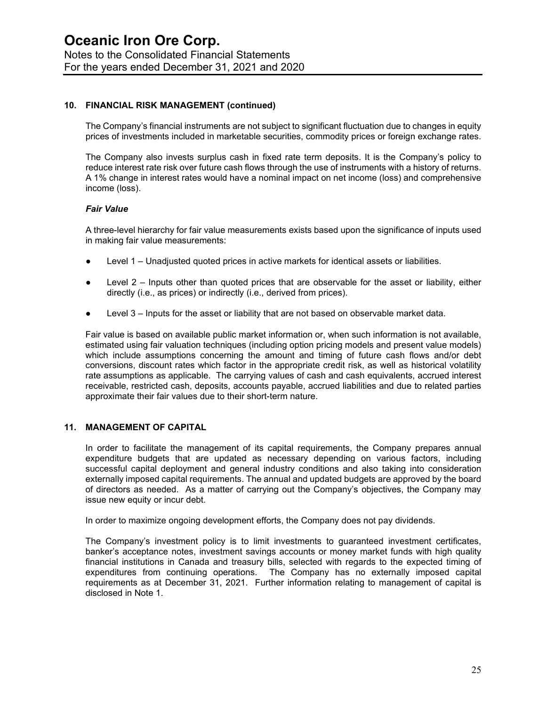#### **10. FINANCIAL RISK MANAGEMENT (continued)**

The Company's financial instruments are not subject to significant fluctuation due to changes in equity prices of investments included in marketable securities, commodity prices or foreign exchange rates.

The Company also invests surplus cash in fixed rate term deposits. It is the Company's policy to reduce interest rate risk over future cash flows through the use of instruments with a history of returns. A 1% change in interest rates would have a nominal impact on net income (loss) and comprehensive income (loss).

#### *Fair Value*

A three-level hierarchy for fair value measurements exists based upon the significance of inputs used in making fair value measurements:

- Level 1 Unadjusted quoted prices in active markets for identical assets or liabilities.
- Level  $2$  Inputs other than quoted prices that are observable for the asset or liability, either directly (i.e., as prices) or indirectly (i.e., derived from prices).
- Level  $3$  Inputs for the asset or liability that are not based on observable market data.

Fair value is based on available public market information or, when such information is not available, estimated using fair valuation techniques (including option pricing models and present value models) which include assumptions concerning the amount and timing of future cash flows and/or debt conversions, discount rates which factor in the appropriate credit risk, as well as historical volatility rate assumptions as applicable. The carrying values of cash and cash equivalents, accrued interest receivable, restricted cash, deposits, accounts payable, accrued liabilities and due to related parties approximate their fair values due to their short-term nature.

#### **11. MANAGEMENT OF CAPITAL**

In order to facilitate the management of its capital requirements, the Company prepares annual expenditure budgets that are updated as necessary depending on various factors, including successful capital deployment and general industry conditions and also taking into consideration externally imposed capital requirements. The annual and updated budgets are approved by the board of directors as needed. As a matter of carrying out the Company's objectives, the Company may issue new equity or incur debt.

In order to maximize ongoing development efforts, the Company does not pay dividends.

The Company's investment policy is to limit investments to guaranteed investment certificates, banker's acceptance notes, investment savings accounts or money market funds with high quality financial institutions in Canada and treasury bills, selected with regards to the expected timing of expenditures from continuing operations. The Company has no externally imposed capital requirements as at December 31, 2021. Further information relating to management of capital is disclosed in Note 1.